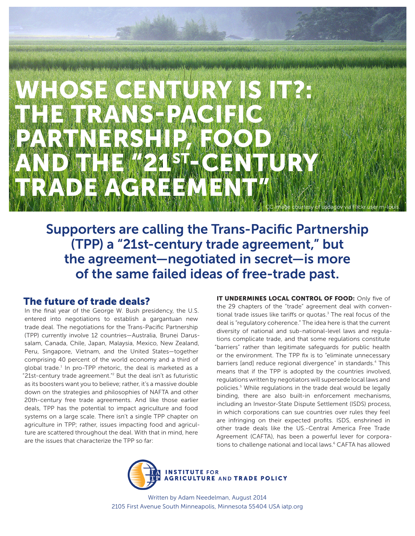# WHOSE CENTURY IS IT?: THE TRANS-PACIFIC PARTNERSHIP, FOOD, AND THE "21ST-CENTURY TRADE AGREEMENT ( CC image courtesy of usdagov via Flickr user m-louis.

Supporters are calling the Trans-Pacific Partnership (TPP) a "21st-century trade agreement," but the agreement—negotiated in secret—is more of the same failed ideas of free-trade past.

#### The future of trade deals?

In the final year of the George W. Bush presidency, the U.S. entered into negotiations to establish a gargantuan new trade deal. The negotiations for the Trans-Pacific Partnership (TPP) currently involve 12 countries—Australia, Brunei Darussalam, Canada, Chile, Japan, Malaysia, Mexico, New Zealand, Peru, Singapore, Vietnam, and the United States—together comprising 40 percent of the world economy and a third of global trade.<sup>1</sup> In pro-TPP rhetoric, the deal is marketed as a "21st-century trade agreement."2 But the deal isn't as futuristic as its boosters want you to believe; rather, it's a massive double down on the strategies and philosophies of NAFTA and other 20th-century free trade agreements. And like those earlier deals, TPP has the potential to impact agriculture and food systems on a large scale. There isn't a single TPP chapter on agriculture in TPP; rather, issues impacting food and agriculture are scattered throughout the deal. With that in mind, here are the issues that characterize the TPP so far:

IT UNDERMINES LOCAL CONTROL OF FOOD: Only five of the 29 chapters of the "trade" agreement deal with conventional trade issues like tariffs or quotas.<sup>3</sup> The real focus of the deal is "regulatory coherence." The idea here is that the current diversity of national and sub-national-level laws and regulations complicate trade, and that some regulations constitute "barriers" rather than legitimate safeguards for public health or the environment. The TPP fix is to "eliminate unnecessary barriers [and] reduce regional divergence" in standards.<sup>4</sup> This means that if the TPP is adopted by the countries involved, regulations written by negotiators will supersede local laws and policies.<sup>5</sup> While regulations in the trade deal would be legally binding, there are also built-in enforcement mechanisms, including an Investor-State Dispute Settlement (ISDS) process, in which corporations can sue countries over rules they feel are infringing on their expected profits. ISDS, enshrined in other trade deals like the US.-Central America Free Trade Agreement (CAFTA), has been a powerful lever for corporations to challenge national and local laws.<sup>6</sup> CAFTA has allowed



Written by Adam Needelman, August 2014 2105 First Avenue South Minneapolis, Minnesota 55404 USA iatp.org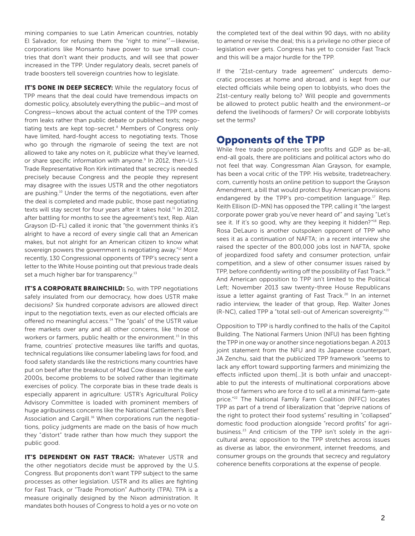mining companies to sue Latin American countries, notably El Salvador, for refusing them the "right to mine" $<sup>7</sup>$ -likewise,</sup> corporations like Monsanto have power to sue small countries that don't want their products, and will see that power increased in the TPP. Under regulatory deals, secret panels of trade boosters tell sovereign countries how to legislate.

IT'S DONE IN DEEP SECRECY: While the regulatory focus of TPP means that the deal could have tremendous impacts on domestic policy, absolutely everything the public—and most of Congress—knows about the actual content of the TPP comes from leaks rather than public debate or published texts; negotiating texts are kept top-secret.<sup>8</sup> Members of Congress only have limited, hard-fought access to negotiating texts. Those who go through the rigmarole of seeing the text are not allowed to take any notes on it, publicize what they've learned, or share specific information with anyone.<sup>9</sup> In 2012, then-U.S. Trade Representative Ron Kirk intimated that secrecy is needed precisely because Congress and the people they represent may disagree with the issues USTR and the other negotiators are pushing.<sup>10</sup> Under the terms of the negotiations, even after the deal is completed and made public, those past negotiating texts will stay secret for four years after it takes hold.<sup>11</sup> In 2012, after battling for months to see the agreement's text, Rep. Alan Grayson (D-FL) called it ironic that "the government thinks it's alright to have a record of every single call that an American makes, but not alright for an American citizen to know what sovereign powers the government is negotiating away."<sup>12</sup> More recently, 130 Congressional opponents of TPP's secrecy sent a letter to the White House pointing out that previous trade deals set a much higher bar for transparency.<sup>13</sup>

**IT'S A CORPORATE BRAINCHILD:** So, with TPP negotiations safely insulated from our democracy, how does USTR make decisions? Six hundred corporate advisors are allowed direct input to the negotiation texts, even as our elected officials are offered no meaningful access.<sup>14</sup> The "goals" of the USTR value free markets over any and all other concerns, like those of workers or farmers, public health or the environment.<sup>15</sup> In this frame, countries' protective measures like tariffs and quotas, technical regulations like consumer labeling laws for food, and food safety standards like the restrictions many countries have put on beef after the breakout of Mad Cow disease in the early 2000s, become problems to be solved rather than legitimate exercises of policy. The corporate bias in these trade deals is especially apparent in agriculture: USTR's Agricultural Policy Advisory Committee is loaded with prominent members of huge agribusiness concerns like the National Cattlemen's Beef Association and Cargill.<sup>16</sup> When corporations run the negotiations, policy judgments are made on the basis of how much they "distort" trade rather than how much they support the public good.

**IT'S DEPENDENT ON FAST TRACK:** Whatever USTR and the other negotiators decide must be approved by the U.S. Congress. But proponents don't want TPP subject to the same processes as other legislation. USTR and its allies are fighting for Fast Track, or "Trade Promotion" Authority (TPA). TPA is a measure originally designed by the Nixon administration. It mandates both houses of Congress to hold a yes or no vote on

the completed text of the deal within 90 days, with no ability to amend or revise the deal; this is a privilege no other piece of legislation ever gets. Congress has yet to consider Fast Track and this will be a major hurdle for the TPP.

If the "21st-century trade agreement" undercuts democratic processes at home and abroad, and is kept from our elected officials while being open to lobbyists, who does the 21st-century really belong to? Will people and governments be allowed to protect public health and the environment–or defend the livelihoods of farmers? Or will corporate lobbyists set the terms?

### Opponents of the TPP

While free trade proponents see profits and GDP as be-all, end-all goals, there are politicians and political actors who do not feel that way. Congressman Alan Grayson, for example, has been a vocal critic of the TPP. His website, tradetreachery. com, currently hosts an online petition to support the Grayson Amendment, a bill that would protect Buy American provisions endangered by the TPP's pro-competition language. $17$  Rep. Keith Ellison (D-MN) has opposed the TPP, calling it "the largest corporate power grab you've never heard of" and saying "Let's see it. If it's so good, why are they keeping it hidden?"<sup>18</sup> Rep. Rosa DeLauro is another outspoken opponent of TPP who sees it as a continuation of NAFTA; in a recent interview she raised the specter of the 800,000 jobs lost in NAFTA, spoke of jeopardized food safety and consumer protection, unfair competition, and a slew of other consumer issues raised by TPP, before confidently writing off the possibility of Fast Track.19 And American opposition to TPP isn't limited to the Political Left; November 2013 saw twenty-three House Republicans issue a letter against granting of Fast Track.<sup>20</sup> In an internet radio interview, the leader of that group, Rep. Walter Jones (R-NC), called TPP a "total sell-out of American sovereignty."21

Opposition to TPP is hardly confined to the halls of the Capitol Building. The National Farmers Union (NFU) has been fighting the TPP in one way or another since negotiations began. A 2013 joint statement from the NFU and its Japanese counterpart, JA Zenchu, said that the publicized TPP framework "seems to lack any effort toward supporting farmers and minimizing the effects inflicted upon them[…]it is both unfair and unacceptable to put the interests of multinational corporations above those of farmers who are force d to sell at a minimal farm-gate price."22 The National Family Farm Coalition (NFFC) locates TPP as part of a trend of liberalization that "deprive nations of the right to protect their food systems" resulting in "collapsed" domestic food production alongside "record profits" for agribusiness.<sup>23</sup> And criticism of the TPP isn't solely in the agricultural arena; opposition to the TPP stretches across issues as diverse as labor, the environment, internet freedoms, and consumer groups on the grounds that secrecy and regulatory coherence benefits corporations at the expense of people.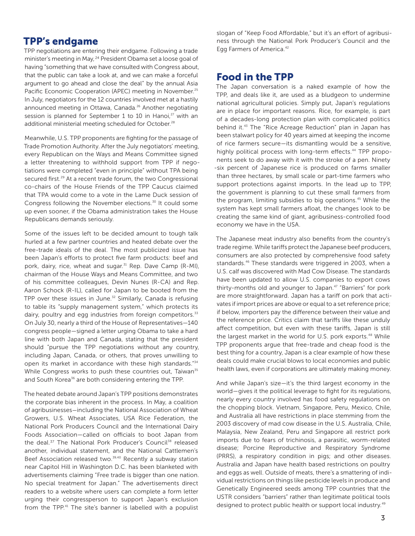#### TPP's endgame

TPP negotiations are entering their endgame. Following a trade minister's meeting in May, 24 President Obama set a loose goal of having "something that we have consulted with Congress about, that the public can take a look at, and we can make a forceful argument to go ahead and close the deal" by the annual Asia Pacific Economic Cooperation (APEC) meeting in November.<sup>25</sup> In July, negotiators for the 12 countries involved met at a hastily announced meeting in Ottawa, Canada.<sup>26</sup> Another negotiating session is planned for September 1 to 10 in Hanoi, $^{27}$  with an additional ministerial meeting scheduled for October.<sup>28</sup>

Meanwhile, U.S. TPP proponents are fighting for the passage of Trade Promotion Authority. After the July negotiators' meeting, every Republican on the Ways and Means Committee signed a letter threatening to withhold support from TPP if negotiations were completed "even in principle" without TPA being secured first.<sup>29</sup> At a recent trade forum, the two Congressional co-chairs of the House Friends of the TPP Caucus claimed that TPA would come to a vote in the Lame Duck session of Congress following the November elections.30 It could some up even sooner, if the Obama administration takes the House Republicans demands seriously.

Some of the issues left to be decided amount to tough talk hurled at a few partner countries and heated debate over the free-trade ideals of the deal. The most publicized issue has been Japan's efforts to protect five farm products: beef and pork, dairy, rice, wheat and sugar.<sup>31</sup> Rep. Dave Camp (R-MI), chairman of the House Ways and Means Committee, and two of his committee colleagues, Devin Nunes (R-CA) and Rep. Aaron Schock (R-IL), called for Japan to be booted from the TPP over these issues in June. $32$  Similarly, Canada is refusing to table its "supply management system," which protects its dairy, poultry and egg industries from foreign competitors.<sup>33</sup> On July 30, nearly a third of the House of Representatives—140 congress people—signed a letter urging Obama to take a hard line with both Japan and Canada, stating that the president should "pursue the TPP negotiations without any country, including Japan, Canada, or others, that proves unwilling to open its market in accordance with these high standards."34 While Congress works to push these countries out, Taiwan<sup>35</sup> and South Korea<sup>36</sup> are both considering entering the TPP.

The heated debate around Japan's TPP positions demonstrates the corporate bias inherent in the process. In May, a coalition of agribusinesses—including the National Association of Wheat Growers, U.S. Wheat Associates, USA Rice Federation, the National Pork Producers Council and the International Dairy Foods Association—called on officials to boot Japan from the deal.<sup>37</sup> The National Pork Producer's Council<sup>38</sup> released another, individual statement, and the National Cattlemen's Beef Association released two.<sup>39,40</sup> Recently a subway station near Capitol Hill in Washington D.C. has been blanketed with advertisements claiming "Free trade is bigger than one nation. No special treatment for Japan." The advertisements direct readers to a website where users can complete a form letter urging their congressperson to support Japan's exclusion from the TPP.<sup>41</sup> The site's banner is labelled with a populist

slogan of "Keep Food Affordable," but it's an effort of agribusiness through the National Pork Producer's Council and the Egg Farmers of America.42

# Food in the TPP

The Japan conversation is a naked example of how the TPP, and deals like it, are used as a bludgeon to undermine national agricultural policies. Simply put, Japan's regulations are in place for important reasons. Rice, for example, is part of a decades-long protection plan with complicated politics behind it.<sup>43</sup> The "Rice Acreage Reduction" plan in Japan has been stalwart policy for 40 years aimed at keeping the income of rice farmers secure—its dismantling would be a sensitive, highly political process with long-term effects.<sup>44</sup> TPP proponents seek to do away with it with the stroke of a pen. Ninety -six percent of Japanese rice is produced on farms smaller than three hectares, by small scale or part-time farmers who support protections against imports. In the lead up to TPP, the government is planning to cut these small farmers from the program, limiting subsidies to big operations.<sup>45</sup> While the system has kept small farmers afloat, the changes look to be creating the same kind of giant, agribusiness-controlled food economy we have in the USA.

The Japanese meat industry also benefits from the country's trade regime. While tariffs protect the Japanese beef producers, consumers are also protected by comprehensive food safety standards.<sup>46</sup> These standards were triggered in 2003, when a U.S. calf was discovered with Mad Cow Disease. The standards have been updated to allow U.S. companies to export cows thirty-months old and younger to Japan.<sup>47</sup> "Barriers" for pork are more straightforward. Japan has a tariff on pork that activates if import prices are above or equal to a set reference price; if below, importers pay the difference between their value and the reference price. Critics claim that tariffs like these unduly affect competition, but even with these tariffs, Japan is still the largest market in the world for U.S. pork exports.<sup>48</sup> While TPP proponents argue that free-trade and cheap food is the best thing for a country, Japan is a clear example of how these deals could make crucial blows to local economies and public health laws, even if corporations are ultimately making money.

And while Japan's size—it's the third largest economy in the world—gives it the political leverage to fight for its regulations, nearly every country involved has food safety regulations on the chopping block. Vietnam, Singapore, Peru, Mexico, Chile, and Australia all have restrictions in place stemming from the 2003 discovery of mad cow disease in the U.S. Australia, Chile, Malaysia, New Zealand, Peru and Singapore all restrict pork imports due to fears of trichinosis, a parasitic, worm-related disease; Porcine Reproductive and Respiratory Syndrome (PRRS), a respiratory condition in pigs; and other diseases. Australia and Japan have health based restrictions on poultry and eggs as well. Outside of meats, there's a smattering of individual restrictions on things like pesticide levels in produce and Genetically Engineered seeds among TPP countries that the USTR considers "barriers" rather than legitimate political tools designed to protect public health or support local industry.<sup>49</sup>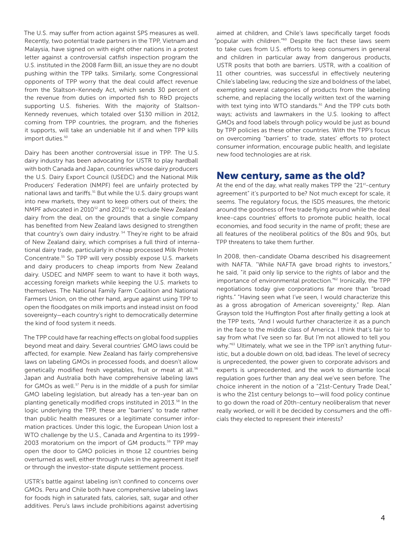The U.S. may suffer from action against SPS measures as well. Recently, two potential trade partners in the TPP, Vietnam and Malaysia, have signed on with eight other nations in a protest letter against a controversial catfish inspection program the U.S. instituted in the 2008 Farm Bill, an issue they are no doubt pushing within the TPP talks. Similarly, some Congressional opponents of TPP worry that the deal could affect revenue from the Staltson-Kennedy Act, which sends 30 percent of the revenue from duties on imported fish to R&D projects supporting U.S. fisheries. With the majority of Staltson-Kennedy revenues, which totaled over \$130 million in 2012, coming from TPP countries, the program, and the fisheries it supports, will take an undeniable hit if and when TPP kills import duties.<sup>50</sup>

Dairy has been another controversial issue in TPP. The U.S. dairy industry has been advocating for USTR to play hardball with both Canada and Japan, countries whose dairy producers the U.S. Dairy Export Council (USEDC) and the National Milk Producers' Federation (NMPF) feel are unfairly protected by national laws and tariffs.<sup>51</sup> But while the U.S. dairy groups want into new markets, they want to keep others out of theirs; the NMPF advocated in 2010<sup>52</sup> and 2012<sup>53</sup> to exclude New Zealand dairy from the deal, on the grounds that a single company has benefited from New Zealand laws designed to strengthen that country's own dairy industry.<sup>54</sup> They're right to be afraid of New Zealand dairy, which comprises a full third of international dairy trade, particularly in cheap processed Milk Protein Concentrate.55 So TPP will very possibly expose U.S. markets and dairy producers to cheap imports from New Zealand dairy. USDEC and NMPF seem to want to have it both ways, accessing foreign markets while keeping the U.S. markets to themselves. The National Family Farm Coalition and National Farmers Union, on the other hand, argue against using TPP to open the floodgates on milk imports and instead insist on food sovereignty—each country's right to democratically determine the kind of food system it needs.

The TPP could have far reaching effects on global food supplies beyond meat and dairy. Several countries' GMO laws could be affected, for example. New Zealand has fairly comprehensive laws on labeling GMOs in processed foods, and doesn't allow genetically modified fresh vegetables, fruit or meat at all.<sup>56</sup> Japan and Australia both have comprehensive labeling laws for GMOs as well.<sup>57</sup> Peru is in the middle of a push for similar GMO labeling legislation, but already has a ten-year ban on planting genetically modified crops instituted in 2013.<sup>58</sup> In the logic underlying the TPP, these are "barriers" to trade rather than public health measures or a legitimate consumer information practices. Under this logic, the European Union lost a WTO challenge by the U.S., Canada and Argentina to its 1999- 2003 moratorium on the import of GM products.<sup>59</sup> TPP may open the door to GMO policies in those 12 countries being overturned as well, either through rules in the agreement itself or through the investor-state dispute settlement process.

USTR's battle against labeling isn't confined to concerns over GMOs. Peru and Chile both have comprehensive labeling laws for foods high in saturated fats, calories, salt, sugar and other additives. Peru's laws include prohibitions against advertising

aimed at children, and Chile's laws specifically target foods "popular with children."60 Despite the fact these laws seem to take cues from U.S. efforts to keep consumers in general and children in particular away from dangerous products, USTR posits that both are barriers. USTR, with a coalition of 11 other countries, was successful in effectively neutering Chile's labeling law, reducing the size and boldness of the label, exempting several categories of products from the labeling scheme, and replacing the locally written text of the warning with text tying into WTO standards.<sup>61</sup> And the TPP cuts both ways; activists and lawmakers in the U.S. looking to affect GMOs and food labels through policy would be just as bound by TPP policies as these other countries. With the TPP's focus on overcoming "barriers" to trade, states' efforts to protect consumer information, encourage public health, and legislate new food technologies are at risk.

#### New century, same as the old?

At the end of the day, what really makes TPP the "21st-century agreement" it's purported to be? Not much except for scale, it seems. The regulatory focus, the ISDS measures, the rhetoric around the goodness of free trade flying around while the deal knee-caps countries' efforts to promote public health, local economies, and food security in the name of profit; these are all features of the neoliberal politics of the 80s and 90s, but TPP threatens to take them further.

In 2008, then-candidate Obama described his disagreement with NAFTA. "While NAFTA gave broad rights to investors," he said, "it paid only lip service to the rights of labor and the importance of environmental protection."62 Ironically, the TPP negotiations today give corporations far more than "broad rights." "Having seen what I've seen, I would characterize this as a gross abrogation of American sovereignty," Rep. Alan Grayson told the Huffington Post after finally getting a look at the TPP texts, "And I would further characterize it as a punch in the face to the middle class of America. I think that's fair to say from what I've seen so far. But I'm not allowed to tell you why."<sup>63</sup> Ultimately, what we see in the TPP isn't anything futuristic, but a double down on old, bad ideas. The level of secrecy is unprecedented, the power given to corporate advisors and experts is unprecedented, and the work to dismantle local regulation goes further than any deal we've seen before. The choice inherent in the notion of a "21st-Century Trade Deal," is who the 21st century belongs to—will food policy continue to go down the road of 20th-century neoliberalism that never really worked, or will it be decided by consumers and the officials they elected to represent their interests?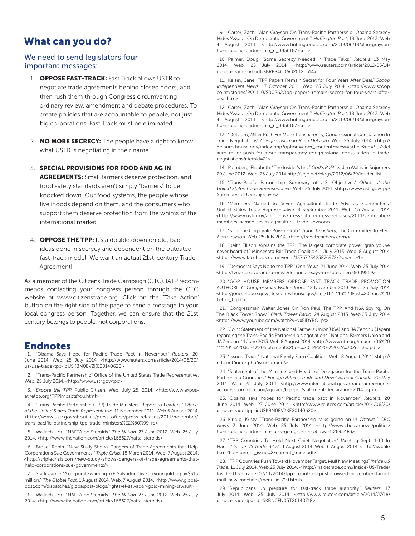# What can you do?

#### We need to send legislators four important messages:

- 1. **OPPOSE FAST-TRACK:** Fast Track allows USTR to negotiate trade agreements behind closed doors, and then rush them through Congress circumventing ordinary review, amendment and debate procedures. To create policies that are accountable to people, not just big corporations, Fast Track must be eliminated.
- 2. **NO MORE SECRECY:** The people have a right to know what USTR is negotiating in their name.
- 3. SPECIAL PROVISIONS FOR FOOD AND AG IN **AGREEMENTS:** Small farmers deserve protection, and food safety standards aren't simply "barriers" to be knocked down. Our food systems, the people whose livelihoods depend on them, and the consumers who support them deserve protection from the whims of the international market.
- 4. **OPPOSE THE TPP:** It's a double down on old, bad ideas done in secrecy and dependent on the outdated fast-track model. We want an actual 21st-century Trade Agreement!

As a member of the Citizens Trade Campaign (CTC), IATP recommends contacting your congress person through the CTC website at www.citizenstrade.org. Click on the "Take Action" button on the right side of the page to send a message to your local congress person. Together, we can ensure that the 21st century belongs to people, not corporations.

#### Endnotes

1. "Obama Says Hope for Pacific Trade Pact in November" *Reuters*, 20 June 2014. Web. 25 July 2014. <http://www.reuters.com/article/2014/06/20/ us-usa-trade-tpp-idUSKBN0EV2KE20140620>

2. "Trans-Pacific Partnership" Office of the United States Trade Representative. Web. 25 July 2014. <http://www.ustr.gov/tpp>

3. *Expose the TPP*. Public Citizen. Web. July 25, 2014. <http://www.exposethetpp.org/TPPImpactsYou.html>

4. "Trans-Pacific Partnership (TPP) Trade Ministers' Report to Leaders." *Office of the United States Trade Representative*. 11 November 2011. Web.5 August 2014. <http://www.ustr.gov/about-us/press-office/press-releases/2011/november/ trans-pacific-partnership-tpp-trade-ministers%E2%80%99-re>

5. Wallach, Lori. "NAFTA on Steroids." *The Nation*. 27 June 2012. Web. 25 July 2014. <http://www.thenation.com/article/168627/nafta-steroids>

6. Broad, Robin. "New Study Shows Dangers of Trade Agreements that Help Corporations Sue Governments." *Triple Crisis*. 18 March 2014. Web. 7 August 2014. <http://triplecrisis.com/new-study-shows-dangers-of-trade-agreements-thathelp-corporations-sue-governments/>

7. Stark, Jamie. "A corporate warning to El Salvador: Give up your gold or pay \$315 million." *The Global Post*. 1 August 2014. Web. 7 August 2014. <http://www.globalpost.com/dispatches/globalpost-blogs/rights/el-salvador-gold-mining-lawsuit>

8. Wallach, Lori. "NAFTA on Steroids." *The Nation*. 27 June 2012. Web. 25 July 2014. <http://www.thenation.com/article/168627/nafta-steroids>

9. Carter, Zach. "Alan Grayson On Trans-Pacific Partnership: Obama Secrecy Hides 'Assault On Democratic Government.'" *Huffington Post*, 18 June 2013. Web. 4 August 2014. <http://www.huffingtonpost.com/2013/06/18/alan-graysontrans-pacific-partnership\_n\_3456167.html>

10. Palmer, Doug. "Some Secrecy Needed in Trade Talks." *Reuters*. 13 May 2014. Web. 25 July 2014. <http://www.reuters.com/article/2012/05/14/ us-usa-trade-kirk-idUSBRE84C0AQ20120514>

11. Kelsey, Jane. "TPP Papers Remain Secret for Four Years After Deal." *Scoop Independent News*. 17 October 2011. Web. 25 July 2014. <http://www.scoop. co.nz/stories/PO1110/S00262/tpp-papers-remain-secret-for-four-years-afterdeal.htm>

12. Carter, Zach. "Alan Grayson On Trans-Pacific Partnership: Obama Secrecy Hides 'Assault On Democratic Government.'" *Huffington Post*, 18 June 2013. Web. 4 August 2014. <http://www.huffingtonpost.com/2013/06/18/alan-graysontrans-pacific-partnership\_n\_3456167.html>

13. "DeLauro, Miller Push For More Transparency, Congressional Consultation In Trade Negotiations" *Congresswoman Rosa DeLauro*. Web. 25 July 2014. <http:// delauro.house.gov/index.php?option=com\_content&view=article&id=997:del auro-miller-push-for-more-transparency-congressional-consultation-in-tradenegotiations&Itemid=21>

14. Palmberg, Elizabeth. "The Insider's List." *God's Politics*, Jim Wallis, in Sojurners. 29 June 2012. Web. 25 July 2014.http://sojo.net/blogs/2012/06/29/insider-list

15. "Trans-Pacific Partnership: Summary of U.S. Objectives" *Office of the United States Trade Representative*. Web. 25 July 2014. <http://www.ustr.gov/tpp/ Summary-of-US-objectives>

16. "Members Named to Seven Agricultural Trade Advisory Committees." United States Trade Representative. 8 September 2011. Web. 15 August 2014. <http://www.ustr.gov/about-us/press-office/press-releases/2011/september/ members-named-seven-agricultural-trade-advisory>

17. "Stop the Corporate Power Grab," *Trade Treachery*, The Committee to Elect Alan Grayson. Web. 25 July 2014. <http://tradetreachery.com/>

18. "Keith Ellison explains the TPP: The largest corporate power grab you've never heard of." Minnesota Fair Trade Coalition. 1 July 2013. Web. 8 August 2014. <https://www.facebook.com/events/1376723425876972/?source=1>

19. "Democrat Says No to the TPP." *One News*. 21 June 2014. Web. 25 July 2014. <http://tvnz.co.nz/q-and-a-news/democrat-says-no-tpp-video-6009569>

20. "GOP HOUSE MEMBERS OPPOSE FAST TRACK TRADE PROMOTION AUTHORITY." *Congressman Walter Jones*. 12 November 2013. Web. 25 July 2014. <http://jones.house.gov/sites/jones.house.gov/files/11.12.13%20Fast%20Track%20 Letter\_0.pdf>

21. "Congressman Walter Jones On Ron Paul, The TPP, And NSA Spying, On The Black Tower Show." *Black Tower Radio*. 24 August 2013. Web.25 July 2014. <https://www.youtube.com/watch?v=vx5iDYBOLps>

22. "Joint Statement of the National Farmers Union(USA) and JA Zenchu (Japan) regarding the Trans-Pacific Partnership Negotiations." National Farmers Union and JA Zenchu. 11 June 2013. Web.8 August 2014. <http://www.nfu.org/images/06%20 11%2013%20Joint%20Statement%20on%20TPP%20-%20JA%20Zenchu.pdf >

23. "Issues: Trade." National Family Farm Coalition. Web. 8 August 2014. <http:// nffc.net/index.php/issues/trade/>

24. "Statement of the Ministers and Heads of Delegation for the Trans-Pacific Partnership Countries." *Foreign Affairs, Trade and Development Canada*. 20 May 2014. Web. 25 July 2014. <http://www.international.gc.ca/trade-agreementsaccords-commerciaux/agr-acc/tpp-ptp/statement-declaration-2014.aspx>

25. "Obama says hopes for Pacific trade pact in November" *Reuters*. 20 June 2014. Web. 27 June 2014. <http://www.reuters.com/article/2014/06/20/ us-usa-trade-tpp-idUSKBN0EV2KE20140620>

26. Kirkup, Kristy. "Trans-Pacific Partnership talks going on in Ottawa," *CBC News*. 3 June 2014. Web. 25 July 2014. <http://www.cbc.ca/news/politics/ trans-pacific-partnership-talks-going-on-in-ottawa-1.2695483>

27. "TPP Countries To Hold Next Chief Negotiators' Meeting Sept. 1-10 In Hanoi." *Inside US Trade*, 32:31, 1 August 2014. Web. 6 August 2014. <http://iwpfile. html?file=current\_issue%2Fcurrent\_trade.pdf>.

28. "TPP Countries Push Toward November Target, Mull New Meetings" *Inside US Trade*. 11 July 2014. Web.25 July 2014. < http://insidetrade.com./Inside-US-Trade/ Inside-U.S.-Trade-07/11/2014/tpp-countries-push-toward-november-targetmull-new-meetings/menu-id-710.html>

29. "Republicans up pressure for fast-track trade authority" *Reuters*. 17 July 2014. Web. 25 July 2014. <http://www.reuters.com/article/2014/07/18/ us-usa-trade-tpa-idUSKBN0FN05T20140718>